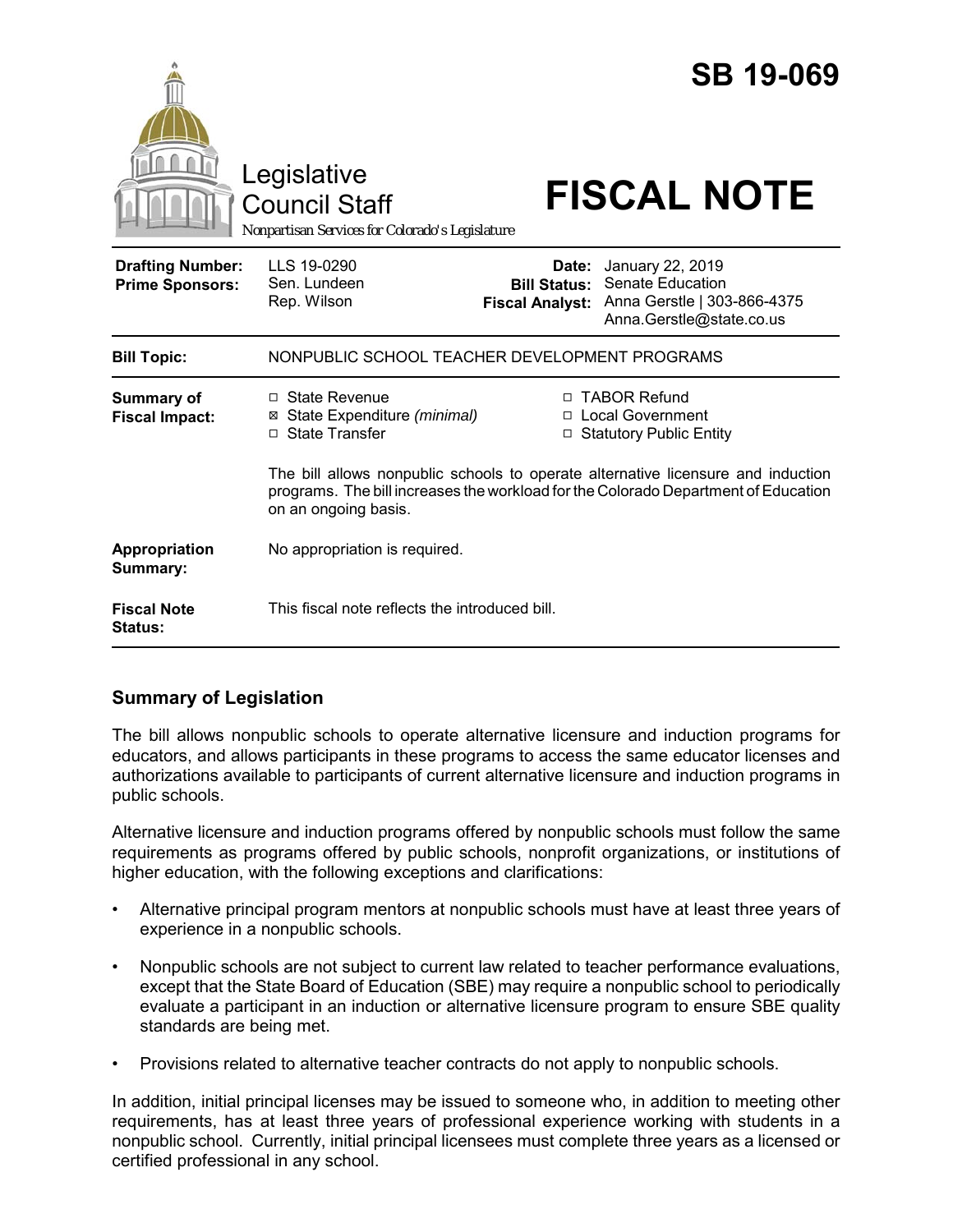|                                                   | Legislative<br><b>Council Staff</b><br>Nonpartisan Services for Colorado's Legislature               |                                 | <b>SB 19-069</b><br><b>FISCAL NOTE</b>                                                                                                                                                                                                                |
|---------------------------------------------------|------------------------------------------------------------------------------------------------------|---------------------------------|-------------------------------------------------------------------------------------------------------------------------------------------------------------------------------------------------------------------------------------------------------|
| <b>Drafting Number:</b><br><b>Prime Sponsors:</b> | LLS 19-0290<br>Sen. Lundeen<br>Rep. Wilson                                                           | Date:<br><b>Fiscal Analyst:</b> | January 22, 2019<br><b>Bill Status: Senate Education</b><br>Anna Gerstle   303-866-4375<br>Anna.Gerstle@state.co.us                                                                                                                                   |
| <b>Bill Topic:</b>                                | NONPUBLIC SCHOOL TEACHER DEVELOPMENT PROGRAMS                                                        |                                 |                                                                                                                                                                                                                                                       |
| Summary of<br><b>Fiscal Impact:</b>               | $\Box$ State Revenue<br>State Expenditure (minimal)<br>⊠<br>□ State Transfer<br>on an ongoing basis. | □<br>□                          | □ TABOR Refund<br><b>Local Government</b><br><b>Statutory Public Entity</b><br>The bill allows nonpublic schools to operate alternative licensure and induction<br>programs. The bill increases the workload for the Colorado Department of Education |
| Appropriation<br>Summary:                         | No appropriation is required.                                                                        |                                 |                                                                                                                                                                                                                                                       |
| <b>Fiscal Note</b><br>Status:                     | This fiscal note reflects the introduced bill.                                                       |                                 |                                                                                                                                                                                                                                                       |

## **Summary of Legislation**

The bill allows nonpublic schools to operate alternative licensure and induction programs for educators, and allows participants in these programs to access the same educator licenses and authorizations available to participants of current alternative licensure and induction programs in public schools.

Alternative licensure and induction programs offered by nonpublic schools must follow the same requirements as programs offered by public schools, nonprofit organizations, or institutions of higher education, with the following exceptions and clarifications:

- Alternative principal program mentors at nonpublic schools must have at least three years of experience in a nonpublic schools.
- Nonpublic schools are not subject to current law related to teacher performance evaluations, except that the State Board of Education (SBE) may require a nonpublic school to periodically evaluate a participant in an induction or alternative licensure program to ensure SBE quality standards are being met.
- Provisions related to alternative teacher contracts do not apply to nonpublic schools.

In addition, initial principal licenses may be issued to someone who, in addition to meeting other requirements, has at least three years of professional experience working with students in a nonpublic school. Currently, initial principal licensees must complete three years as a licensed or certified professional in any school.